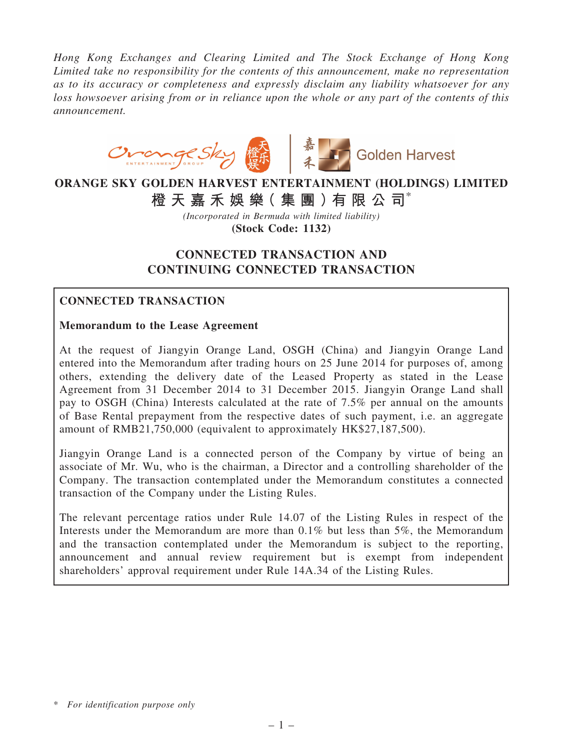*Hong Kong Exchanges and Clearing Limited and The Stock Exchange of Hong Kong Limited take no responsibility for the contents of this announcement, make no representation as to its accuracy or completeness and expressly disclaim any liability whatsoever for any loss howsoever arising from or in reliance upon the whole or any part of the contents of this announcement.*



# ORANGE SKY GOLDEN HARVEST ENTERTAINMENT (HOLDINGS) LIMITED 橙 天 嘉 禾 娛 樂 (集 團 ) 有 限 公 司 $^*$

*(Incorporated in Bermuda with limited liability)* (Stock Code: 1132)

# CONNECTED TRANSACTION AND CONTINUING CONNECTED TRANSACTION

# CONNECTED TRANSACTION

## Memorandum to the Lease Agreement

At the request of Jiangyin Orange Land, OSGH (China) and Jiangyin Orange Land entered into the Memorandum after trading hours on 25 June 2014 for purposes of, among others, extending the delivery date of the Leased Property as stated in the Lease Agreement from 31 December 2014 to 31 December 2015. Jiangyin Orange Land shall pay to OSGH (China) Interests calculated at the rate of 7.5% per annual on the amounts of Base Rental prepayment from the respective dates of such payment, i.e. an aggregate amount of RMB21,750,000 (equivalent to approximately HK\$27,187,500).

Jiangyin Orange Land is a connected person of the Company by virtue of being an associate of Mr. Wu, who is the chairman, a Director and a controlling shareholder of the Company. The transaction contemplated under the Memorandum constitutes a connected transaction of the Company under the Listing Rules.

The relevant percentage ratios under Rule 14.07 of the Listing Rules in respect of the Interests under the Memorandum are more than 0.1% but less than 5%, the Memorandum and the transaction contemplated under the Memorandum is subject to the reporting, announcement and annual review requirement but is exempt from independent shareholders' approval requirement under Rule 14A.34 of the Listing Rules.

<sup>\*</sup> *For identification purpose only*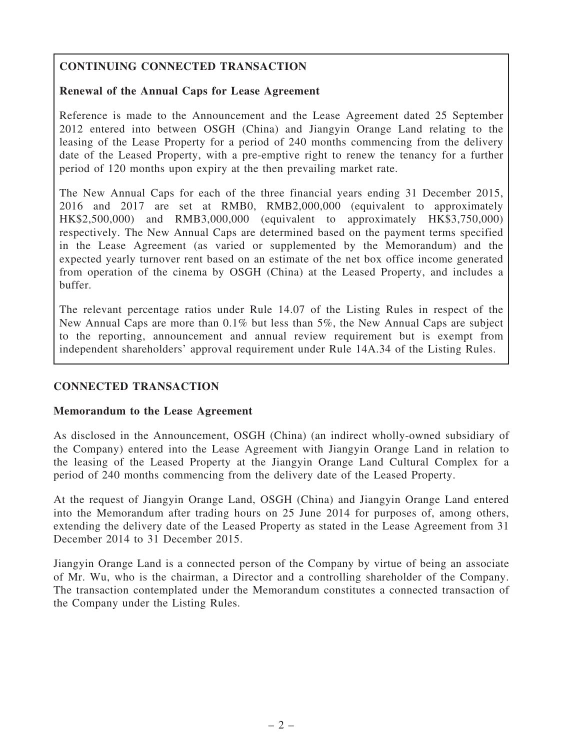# CONTINUING CONNECTED TRANSACTION

## Renewal of the Annual Caps for Lease Agreement

Reference is made to the Announcement and the Lease Agreement dated 25 September 2012 entered into between OSGH (China) and Jiangyin Orange Land relating to the leasing of the Lease Property for a period of 240 months commencing from the delivery date of the Leased Property, with a pre-emptive right to renew the tenancy for a further period of 120 months upon expiry at the then prevailing market rate.

The New Annual Caps for each of the three financial years ending 31 December 2015, 2016 and 2017 are set at RMB0, RMB2,000,000 (equivalent to approximately HK\$2,500,000) and RMB3,000,000 (equivalent to approximately HK\$3,750,000) respectively. The New Annual Caps are determined based on the payment terms specified in the Lease Agreement (as varied or supplemented by the Memorandum) and the expected yearly turnover rent based on an estimate of the net box office income generated from operation of the cinema by OSGH (China) at the Leased Property, and includes a buffer.

The relevant percentage ratios under Rule 14.07 of the Listing Rules in respect of the New Annual Caps are more than 0.1% but less than 5%, the New Annual Caps are subject to the reporting, announcement and annual review requirement but is exempt from independent shareholders' approval requirement under Rule 14A.34 of the Listing Rules.

# CONNECTED TRANSACTION

## Memorandum to the Lease Agreement

As disclosed in the Announcement, OSGH (China) (an indirect wholly-owned subsidiary of the Company) entered into the Lease Agreement with Jiangyin Orange Land in relation to the leasing of the Leased Property at the Jiangyin Orange Land Cultural Complex for a period of 240 months commencing from the delivery date of the Leased Property.

At the request of Jiangyin Orange Land, OSGH (China) and Jiangyin Orange Land entered into the Memorandum after trading hours on 25 June 2014 for purposes of, among others, extending the delivery date of the Leased Property as stated in the Lease Agreement from 31 December 2014 to 31 December 2015.

Jiangyin Orange Land is a connected person of the Company by virtue of being an associate of Mr. Wu, who is the chairman, a Director and a controlling shareholder of the Company. The transaction contemplated under the Memorandum constitutes a connected transaction of the Company under the Listing Rules.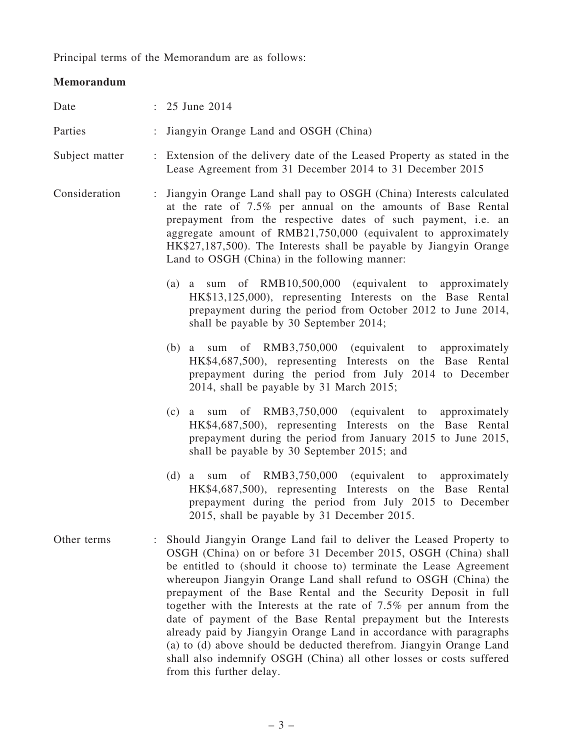Principal terms of the Memorandum are as follows:

# Memorandum

| Date           | : 25 June 2014                                                                                                                                                                                                                                                                                                                                                                                                                                                                                                                                                                                                                                                                                                                               |  |
|----------------|----------------------------------------------------------------------------------------------------------------------------------------------------------------------------------------------------------------------------------------------------------------------------------------------------------------------------------------------------------------------------------------------------------------------------------------------------------------------------------------------------------------------------------------------------------------------------------------------------------------------------------------------------------------------------------------------------------------------------------------------|--|
| Parties        | : Jiangyin Orange Land and OSGH (China)                                                                                                                                                                                                                                                                                                                                                                                                                                                                                                                                                                                                                                                                                                      |  |
| Subject matter | : Extension of the delivery date of the Leased Property as stated in the<br>Lease Agreement from 31 December 2014 to 31 December 2015                                                                                                                                                                                                                                                                                                                                                                                                                                                                                                                                                                                                        |  |
| Consideration  | : Jiangyin Orange Land shall pay to OSGH (China) Interests calculated<br>at the rate of 7.5% per annual on the amounts of Base Rental<br>prepayment from the respective dates of such payment, i.e. an<br>aggregate amount of RMB21,750,000 (equivalent to approximately<br>HK\$27,187,500). The Interests shall be payable by Jiangyin Orange<br>Land to OSGH (China) in the following manner:                                                                                                                                                                                                                                                                                                                                              |  |
|                | (a) a sum of RMB10,500,000 (equivalent to approximately<br>HK\$13,125,000), representing Interests on the Base Rental<br>prepayment during the period from October 2012 to June 2014,<br>shall be payable by 30 September 2014;                                                                                                                                                                                                                                                                                                                                                                                                                                                                                                              |  |
|                | (b) a sum of RMB3,750,000 (equivalent to approximately<br>HK\$4,687,500), representing Interests on the Base Rental<br>prepayment during the period from July 2014 to December<br>2014, shall be payable by 31 March 2015;                                                                                                                                                                                                                                                                                                                                                                                                                                                                                                                   |  |
|                | (c) a sum of RMB3,750,000 (equivalent to approximately<br>HK\$4,687,500), representing Interests on the Base Rental<br>prepayment during the period from January 2015 to June 2015,<br>shall be payable by 30 September 2015; and                                                                                                                                                                                                                                                                                                                                                                                                                                                                                                            |  |
|                | (d) a sum of RMB3,750,000 (equivalent to approximately<br>HK\$4,687,500), representing Interests on the Base Rental<br>prepayment during the period from July 2015 to December<br>2015, shall be payable by 31 December 2015.                                                                                                                                                                                                                                                                                                                                                                                                                                                                                                                |  |
| Other terms    | Should Jiangyin Orange Land fail to deliver the Leased Property to<br>OSGH (China) on or before 31 December 2015, OSGH (China) shall<br>be entitled to (should it choose to) terminate the Lease Agreement<br>whereupon Jiangyin Orange Land shall refund to OSGH (China) the<br>prepayment of the Base Rental and the Security Deposit in full<br>together with the Interests at the rate of $7.5\%$ per annum from the<br>date of payment of the Base Rental prepayment but the Interests<br>already paid by Jiangyin Orange Land in accordance with paragraphs<br>(a) to (d) above should be deducted therefrom. Jiangyin Orange Land<br>shall also indemnify OSGH (China) all other losses or costs suffered<br>from this further delay. |  |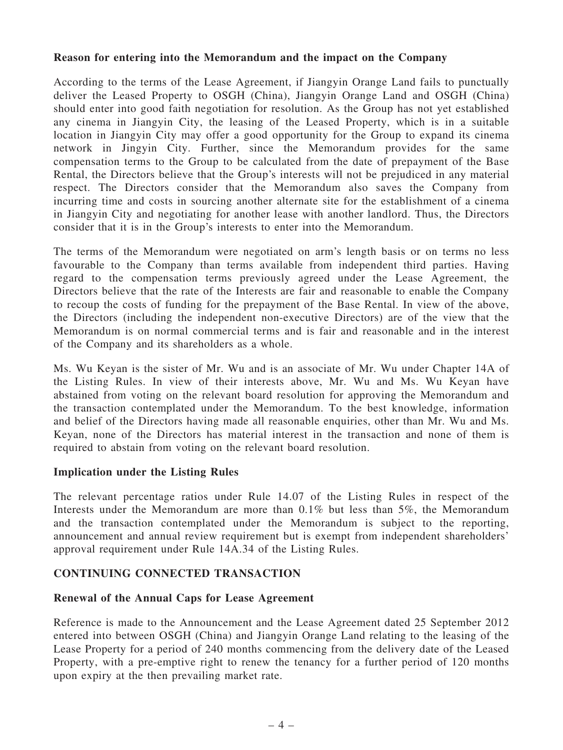### Reason for entering into the Memorandum and the impact on the Company

According to the terms of the Lease Agreement, if Jiangyin Orange Land fails to punctually deliver the Leased Property to OSGH (China), Jiangyin Orange Land and OSGH (China) should enter into good faith negotiation for resolution. As the Group has not yet established any cinema in Jiangyin City, the leasing of the Leased Property, which is in a suitable location in Jiangyin City may offer a good opportunity for the Group to expand its cinema network in Jingyin City. Further, since the Memorandum provides for the same compensation terms to the Group to be calculated from the date of prepayment of the Base Rental, the Directors believe that the Group's interests will not be prejudiced in any material respect. The Directors consider that the Memorandum also saves the Company from incurring time and costs in sourcing another alternate site for the establishment of a cinema in Jiangyin City and negotiating for another lease with another landlord. Thus, the Directors consider that it is in the Group's interests to enter into the Memorandum.

The terms of the Memorandum were negotiated on arm's length basis or on terms no less favourable to the Company than terms available from independent third parties. Having regard to the compensation terms previously agreed under the Lease Agreement, the Directors believe that the rate of the Interests are fair and reasonable to enable the Company to recoup the costs of funding for the prepayment of the Base Rental. In view of the above, the Directors (including the independent non-executive Directors) are of the view that the Memorandum is on normal commercial terms and is fair and reasonable and in the interest of the Company and its shareholders as a whole.

Ms. Wu Keyan is the sister of Mr. Wu and is an associate of Mr. Wu under Chapter 14A of the Listing Rules. In view of their interests above, Mr. Wu and Ms. Wu Keyan have abstained from voting on the relevant board resolution for approving the Memorandum and the transaction contemplated under the Memorandum. To the best knowledge, information and belief of the Directors having made all reasonable enquiries, other than Mr. Wu and Ms. Keyan, none of the Directors has material interest in the transaction and none of them is required to abstain from voting on the relevant board resolution.

### Implication under the Listing Rules

The relevant percentage ratios under Rule 14.07 of the Listing Rules in respect of the Interests under the Memorandum are more than 0.1% but less than 5%, the Memorandum and the transaction contemplated under the Memorandum is subject to the reporting, announcement and annual review requirement but is exempt from independent shareholders' approval requirement under Rule 14A.34 of the Listing Rules.

### CONTINUING CONNECTED TRANSACTION

#### Renewal of the Annual Caps for Lease Agreement

Reference is made to the Announcement and the Lease Agreement dated 25 September 2012 entered into between OSGH (China) and Jiangyin Orange Land relating to the leasing of the Lease Property for a period of 240 months commencing from the delivery date of the Leased Property, with a pre-emptive right to renew the tenancy for a further period of 120 months upon expiry at the then prevailing market rate.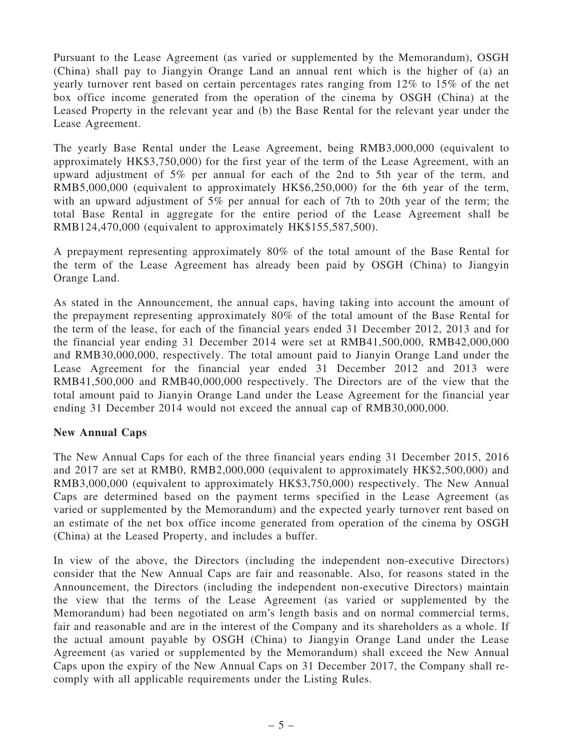Pursuant to the Lease Agreement (as varied or supplemented by the Memorandum), OSGH (China) shall pay to Jiangyin Orange Land an annual rent which is the higher of (a) an yearly turnover rent based on certain percentages rates ranging from 12% to 15% of the net box office income generated from the operation of the cinema by OSGH (China) at the Leased Property in the relevant year and (b) the Base Rental for the relevant year under the Lease Agreement.

The yearly Base Rental under the Lease Agreement, being RMB3,000,000 (equivalent to approximately HK\$3,750,000) for the first year of the term of the Lease Agreement, with an upward adjustment of 5% per annual for each of the 2nd to 5th year of the term, and RMB5,000,000 (equivalent to approximately HK\$6,250,000) for the 6th year of the term, with an upward adjustment of 5% per annual for each of 7th to 20th year of the term; the total Base Rental in aggregate for the entire period of the Lease Agreement shall be RMB124,470,000 (equivalent to approximately HK\$155,587,500).

A prepayment representing approximately 80% of the total amount of the Base Rental for the term of the Lease Agreement has already been paid by OSGH (China) to Jiangyin Orange Land.

As stated in the Announcement, the annual caps, having taking into account the amount of the prepayment representing approximately 80% of the total amount of the Base Rental for the term of the lease, for each of the financial years ended 31 December 2012, 2013 and for the financial year ending 31 December 2014 were set at RMB41,500,000, RMB42,000,000 and RMB30,000,000, respectively. The total amount paid to Jianyin Orange Land under the Lease Agreement for the financial year ended 31 December 2012 and 2013 were RMB41,500,000 and RMB40,000,000 respectively. The Directors are of the view that the total amount paid to Jianyin Orange Land under the Lease Agreement for the financial year ending 31 December 2014 would not exceed the annual cap of RMB30,000,000.

### New Annual Caps

The New Annual Caps for each of the three financial years ending 31 December 2015, 2016 and 2017 are set at RMB0, RMB2,000,000 (equivalent to approximately HK\$2,500,000) and RMB3,000,000 (equivalent to approximately HK\$3,750,000) respectively. The New Annual Caps are determined based on the payment terms specified in the Lease Agreement (as varied or supplemented by the Memorandum) and the expected yearly turnover rent based on an estimate of the net box office income generated from operation of the cinema by OSGH (China) at the Leased Property, and includes a buffer.

In view of the above, the Directors (including the independent non-executive Directors) consider that the New Annual Caps are fair and reasonable. Also, for reasons stated in the Announcement, the Directors (including the independent non-executive Directors) maintain the view that the terms of the Lease Agreement (as varied or supplemented by the Memorandum) had been negotiated on arm's length basis and on normal commercial terms, fair and reasonable and are in the interest of the Company and its shareholders as a whole. If the actual amount payable by OSGH (China) to Jiangyin Orange Land under the Lease Agreement (as varied or supplemented by the Memorandum) shall exceed the New Annual Caps upon the expiry of the New Annual Caps on 31 December 2017, the Company shall recomply with all applicable requirements under the Listing Rules.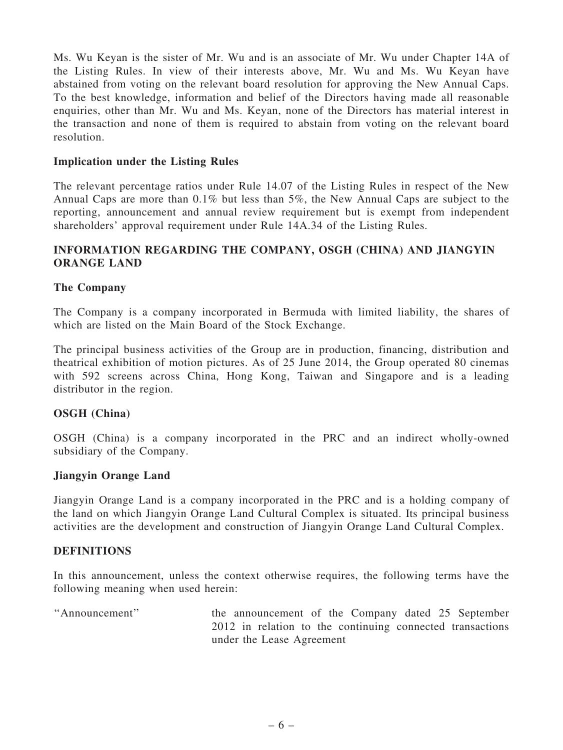Ms. Wu Keyan is the sister of Mr. Wu and is an associate of Mr. Wu under Chapter 14A of the Listing Rules. In view of their interests above, Mr. Wu and Ms. Wu Keyan have abstained from voting on the relevant board resolution for approving the New Annual Caps. To the best knowledge, information and belief of the Directors having made all reasonable enquiries, other than Mr. Wu and Ms. Keyan, none of the Directors has material interest in the transaction and none of them is required to abstain from voting on the relevant board resolution.

### Implication under the Listing Rules

The relevant percentage ratios under Rule 14.07 of the Listing Rules in respect of the New Annual Caps are more than 0.1% but less than 5%, the New Annual Caps are subject to the reporting, announcement and annual review requirement but is exempt from independent shareholders' approval requirement under Rule 14A.34 of the Listing Rules.

## INFORMATION REGARDING THE COMPANY, OSGH (CHINA) AND JIANGYIN ORANGE LAND

#### The Company

The Company is a company incorporated in Bermuda with limited liability, the shares of which are listed on the Main Board of the Stock Exchange.

The principal business activities of the Group are in production, financing, distribution and theatrical exhibition of motion pictures. As of 25 June 2014, the Group operated 80 cinemas with 592 screens across China, Hong Kong, Taiwan and Singapore and is a leading distributor in the region.

#### OSGH (China)

OSGH (China) is a company incorporated in the PRC and an indirect wholly-owned subsidiary of the Company.

#### Jiangyin Orange Land

Jiangyin Orange Land is a company incorporated in the PRC and is a holding company of the land on which Jiangyin Orange Land Cultural Complex is situated. Its principal business activities are the development and construction of Jiangyin Orange Land Cultural Complex.

#### **DEFINITIONS**

In this announcement, unless the context otherwise requires, the following terms have the following meaning when used herein:

''Announcement'' the announcement of the Company dated 25 September 2012 in relation to the continuing connected transactions under the Lease Agreement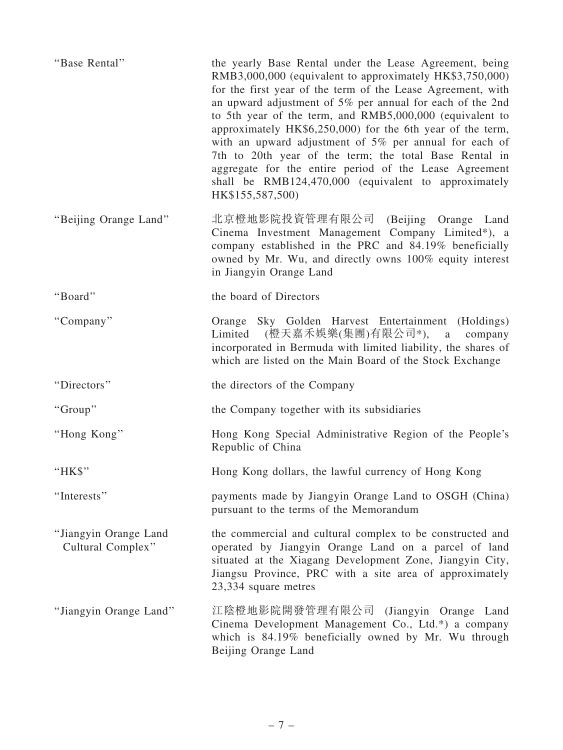| "Base Rental"                              | the yearly Base Rental under the Lease Agreement, being<br>RMB3,000,000 (equivalent to approximately HK\$3,750,000)<br>for the first year of the term of the Lease Agreement, with<br>an upward adjustment of $5\%$ per annual for each of the 2nd<br>to 5th year of the term, and RMB5,000,000 (equivalent to<br>approximately HK\$6,250,000) for the 6th year of the term,<br>with an upward adjustment of $5\%$ per annual for each of<br>7th to 20th year of the term; the total Base Rental in<br>aggregate for the entire period of the Lease Agreement<br>shall be RMB124,470,000 (equivalent to approximately<br>HK\$155,587,500) |
|--------------------------------------------|-------------------------------------------------------------------------------------------------------------------------------------------------------------------------------------------------------------------------------------------------------------------------------------------------------------------------------------------------------------------------------------------------------------------------------------------------------------------------------------------------------------------------------------------------------------------------------------------------------------------------------------------|
| "Beijing Orange Land"                      | 北京橙地影院投資管理有限公司 (Beijing Orange Land<br>Cinema Investment Management Company Limited*), a<br>company established in the PRC and 84.19% beneficially<br>owned by Mr. Wu, and directly owns 100% equity interest<br>in Jiangyin Orange Land                                                                                                                                                                                                                                                                                                                                                                                                  |
| "Board"                                    | the board of Directors                                                                                                                                                                                                                                                                                                                                                                                                                                                                                                                                                                                                                    |
| "Company"                                  | Orange Sky Golden Harvest Entertainment (Holdings)<br>Limited (橙天嘉禾娛樂(集團)有限公司*),<br>a<br>company<br>incorporated in Bermuda with limited liability, the shares of<br>which are listed on the Main Board of the Stock Exchange                                                                                                                                                                                                                                                                                                                                                                                                             |
| "Directors"                                | the directors of the Company                                                                                                                                                                                                                                                                                                                                                                                                                                                                                                                                                                                                              |
| "Group"                                    | the Company together with its subsidiaries                                                                                                                                                                                                                                                                                                                                                                                                                                                                                                                                                                                                |
| "Hong Kong"                                | Hong Kong Special Administrative Region of the People's<br>Republic of China                                                                                                                                                                                                                                                                                                                                                                                                                                                                                                                                                              |
| "HK\$"                                     | Hong Kong dollars, the lawful currency of Hong Kong                                                                                                                                                                                                                                                                                                                                                                                                                                                                                                                                                                                       |
| "Interests"                                | payments made by Jiangyin Orange Land to OSGH (China)<br>pursuant to the terms of the Memorandum                                                                                                                                                                                                                                                                                                                                                                                                                                                                                                                                          |
| "Jiangyin Orange Land<br>Cultural Complex" | the commercial and cultural complex to be constructed and<br>operated by Jiangyin Orange Land on a parcel of land<br>situated at the Xiagang Development Zone, Jiangyin City,<br>Jiangsu Province, PRC with a site area of approximately<br>23,334 square metres                                                                                                                                                                                                                                                                                                                                                                          |
| "Jiangyin Orange Land"                     | 江陰橙地影院開發管理有限公司 (Jiangyin Orange Land<br>Cinema Development Management Co., Ltd.*) a company<br>which is 84.19% beneficially owned by Mr. Wu through<br>Beijing Orange Land                                                                                                                                                                                                                                                                                                                                                                                                                                                                |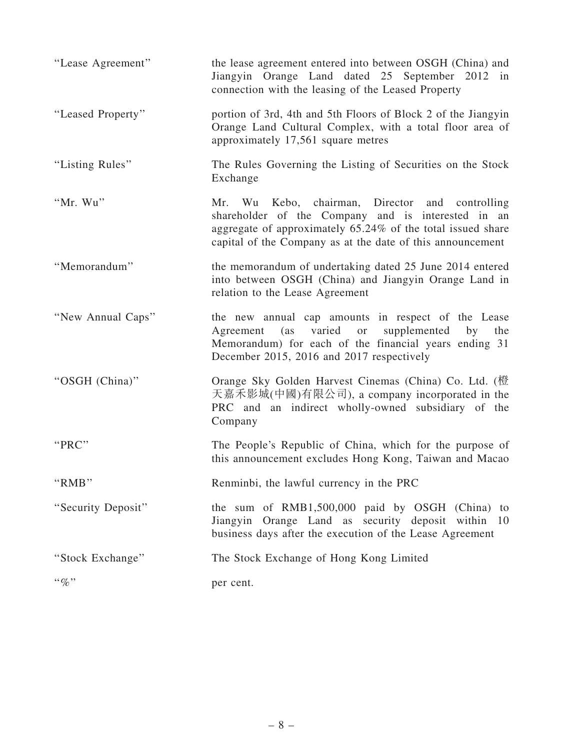| "Lease Agreement"  | the lease agreement entered into between OSGH (China) and<br>Jiangyin Orange Land dated 25 September 2012 in<br>connection with the leasing of the Leased Property                                                                 |
|--------------------|------------------------------------------------------------------------------------------------------------------------------------------------------------------------------------------------------------------------------------|
| "Leased Property"  | portion of 3rd, 4th and 5th Floors of Block 2 of the Jiangyin<br>Orange Land Cultural Complex, with a total floor area of<br>approximately 17,561 square metres                                                                    |
| "Listing Rules"    | The Rules Governing the Listing of Securities on the Stock<br>Exchange                                                                                                                                                             |
| "Mr. Wu"           | Mr. Wu Kebo, chairman, Director and controlling<br>shareholder of the Company and is interested in an<br>aggregate of approximately 65.24% of the total issued share<br>capital of the Company as at the date of this announcement |
| "Memorandum"       | the memorandum of undertaking dated 25 June 2014 entered<br>into between OSGH (China) and Jiangyin Orange Land in<br>relation to the Lease Agreement                                                                               |
| "New Annual Caps"  | the new annual cap amounts in respect of the Lease<br>Agreement (as varied or<br>supplemented<br>by<br>the<br>Memorandum) for each of the financial years ending 31<br>December 2015, 2016 and 2017 respectively                   |
| "OSGH (China)"     | Orange Sky Golden Harvest Cinemas (China) Co. Ltd. (橙<br>天嘉禾影城(中國)有限公司), a company incorporated in the<br>PRC and an indirect wholly-owned subsidiary of the<br>Company                                                            |
| "PRC"              | The People's Republic of China, which for the purpose of<br>this announcement excludes Hong Kong, Taiwan and Macao                                                                                                                 |
| "RMB"              | Renminbi, the lawful currency in the PRC                                                                                                                                                                                           |
| "Security Deposit" | the sum of RMB1,500,000 paid by OSGH (China) to<br>Jiangyin Orange Land as security deposit within 10<br>business days after the execution of the Lease Agreement                                                                  |
| "Stock Exchange"   | The Stock Exchange of Hong Kong Limited                                                                                                                                                                                            |
| $``\%"$            | per cent.                                                                                                                                                                                                                          |